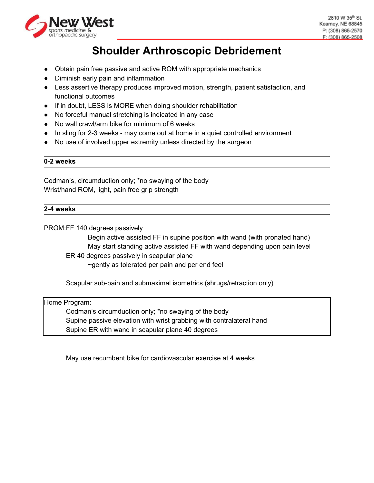

# **Shoulder Arthroscopic Debridement**

- Obtain pain free passive and active ROM with appropriate mechanics
- Diminish early pain and inflammation
- Less assertive therapy produces improved motion, strength, patient satisfaction, and functional outcomes
- If in doubt, LESS is MORE when doing shoulder rehabilitation
- No forceful manual stretching is indicated in any case
- No wall crawl/arm bike for minimum of 6 weeks
- In sling for 2-3 weeks may come out at home in a quiet controlled environment
- No use of involved upper extremity unless directed by the surgeon

#### **0-2 weeks**

Codman's, circumduction only; \*no swaying of the body Wrist/hand ROM, light, pain free grip strength

## **2-4 weeks**

PROM:FF 140 degrees passively

Begin active assisted FF in supine position with wand (with pronated hand) May start standing active assisted FF with wand depending upon pain level

ER 40 degrees passively in scapular plane

~gently as tolerated per pain and per end feel

Scapular sub-pain and submaximal isometrics (shrugs/retraction only)

Home Program: Codman's circumduction only; \*no swaying of the body Supine passive elevation with wrist grabbing with contralateral hand Supine ER with wand in scapular plane 40 degrees

May use recumbent bike for cardiovascular exercise at 4 weeks